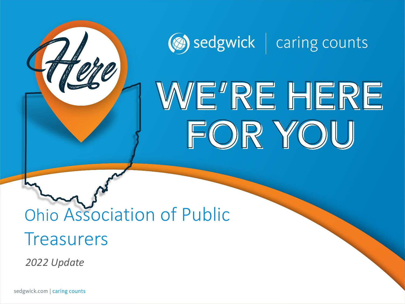

# WE'RE HERE FOR YOU

# Ohio Association of Public **Treasurers**

*2022 Update*

sedgwick.com | caring counts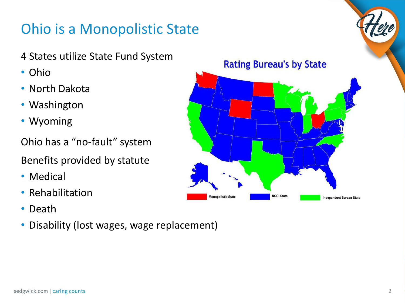#### Ohio is a Monopolistic State

- 4 States utilize State Fund System
- Ohio
- North Dakota
- Washington
- Wyoming

Ohio has a "no-fault" system

Benefits provided by statute

- Medical
- Rehabilitation
- Death
- Disability (lost wages, wage replacement)



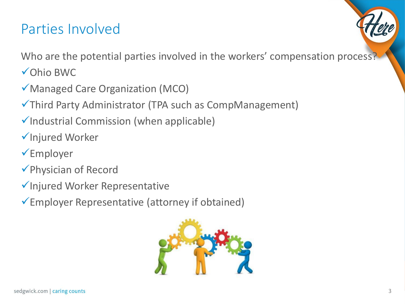#### Parties Involved

Who are the potential parties involved in the workers' compensation process?

- ✓Ohio BWC
- ✓Managed Care Organization (MCO)
- ✓Third Party Administrator (TPA such as CompManagement)
- ✓Industrial Commission (when applicable)
- ✓Injured Worker
- ✓Employer
- ✓Physician of Record
- ✓Injured Worker Representative
- ✓Employer Representative (attorney if obtained)

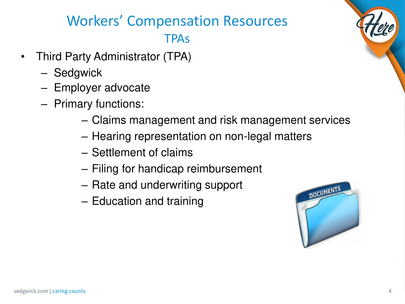### Workers' Compensation Resources TPAs

- Third Party Administrator (TPA)
	- Sedgwick
	- Employer advocate
	- Primary functions:
		- Claims management and risk management services
		- Hearing representation on non-legal matters
		- Settlement of claims
		- Filing for handicap reimbursement
		- Rate and underwriting support
		- Education and training

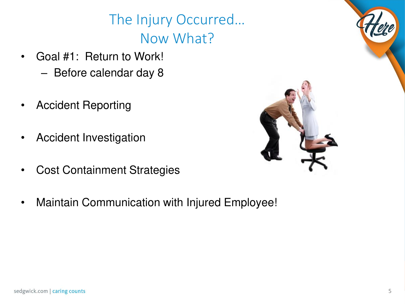## The Injury Occurred… Now What?

- Goal #1: Return to Work!
	- Before calendar day 8
- Accident Reporting
- Accident Investigation
- Cost Containment Strategies
- Maintain Communication with Injured Employee!

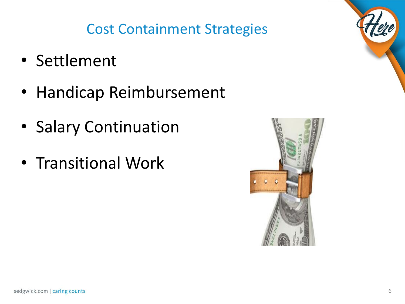## Cost Containment Strategies

- Settlement
- Handicap Reimbursement
- Salary Continuation
- Transitional Work

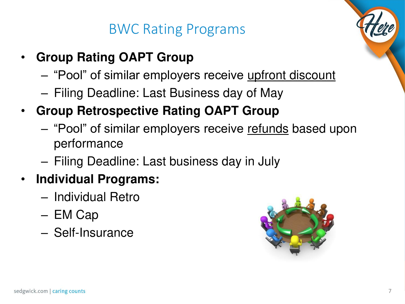#### BWC Rating Programs

- **Group Rating OAPT Group**
	- "Pool" of similar employers receive upfront discount
	- Filing Deadline: Last Business day of May
- **Group Retrospective Rating OAPT Group**
	- "Pool" of similar employers receive refunds based upon performance
	- Filing Deadline: Last business day in July
- **Individual Programs:**
	- Individual Retro
	- EM Cap
	- Self-Insurance

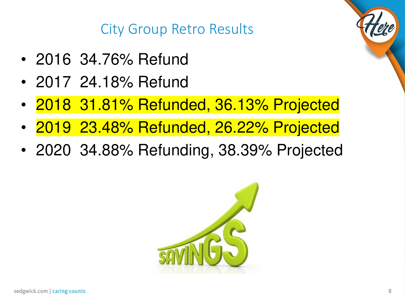City Group Retro Results

- 2016 34.76% Refund
- 2017 24.18% Refund
- 2018 31.81% Refunded, 36.13% Projected
- 2019 23.48% Refunded, 26.22% Projected
- 2020 34.88% Refunding, 38.39% Projected